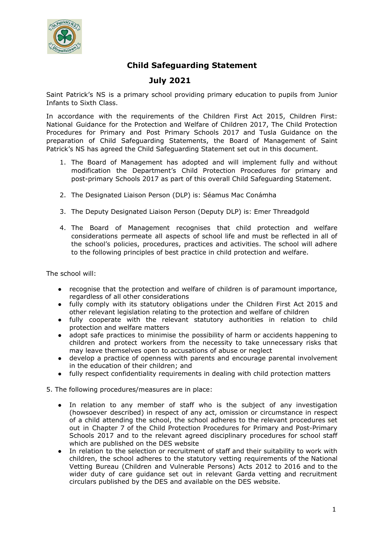

## **Child Safeguarding Statement**

## **July 2021**

Saint Patrick's NS is a primary school providing primary education to pupils from Junior Infants to Sixth Class.

In accordance with the requirements of the Children First Act 2015, Children First: National Guidance for the Protection and Welfare of Children 2017, The Child Protection Procedures for Primary and Post Primary Schools 2017 and Tusla Guidance on the preparation of Child Safeguarding Statements, the Board of Management of Saint Patrick's NS has agreed the Child Safeguarding Statement set out in this document.

- 1. The Board of Management has adopted and will implement fully and without modification the Department's Child Protection Procedures for primary and post-primary Schools 2017 as part of this overall Child Safeguarding Statement.
- 2. The Designated Liaison Person (DLP) is: Séamus Mac Conámha
- 3. The Deputy Designated Liaison Person (Deputy DLP) is: Emer Threadgold
- 4. The Board of Management recognises that child protection and welfare considerations permeate all aspects of school life and must be reflected in all of the school's policies, procedures, practices and activities. The school will adhere to the following principles of best practice in child protection and welfare.

The school will:

- recognise that the protection and welfare of children is of paramount importance, regardless of all other considerations
- fully comply with its statutory obligations under the Children First Act 2015 and other relevant legislation relating to the protection and welfare of children
- fully cooperate with the relevant statutory authorities in relation to child protection and welfare matters
- adopt safe practices to minimise the possibility of harm or accidents happening to children and protect workers from the necessity to take unnecessary risks that may leave themselves open to accusations of abuse or neglect
- develop a practice of openness with parents and encourage parental involvement in the education of their children; and
- fully respect confidentiality requirements in dealing with child protection matters
- 5. The following procedures/measures are in place:
	- In relation to any member of staff who is the subject of any investigation (howsoever described) in respect of any act, omission or circumstance in respect of a child attending the school, the school adheres to the relevant procedures set out in Chapter 7 of the Child Protection Procedures for Primary and Post-Primary Schools 2017 and to the relevant agreed disciplinary procedures for school staff which are published on the DES website
	- In relation to the selection or recruitment of staff and their suitability to work with children, the school adheres to the statutory vetting requirements of the National Vetting Bureau (Children and Vulnerable Persons) Acts 2012 to 2016 and to the wider duty of care guidance set out in relevant Garda vetting and recruitment circulars published by the DES and available on the DES website.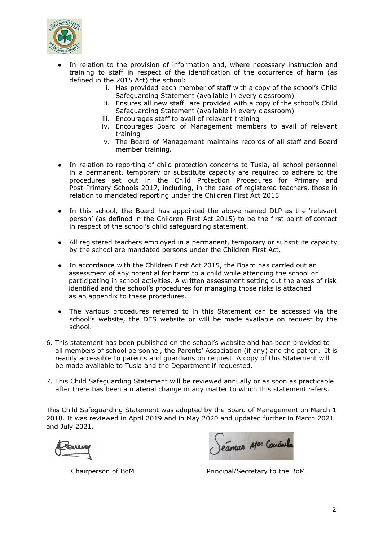

- In relation to the provision of information and, where necessary instruction and training to staff in respect of the identification of the occurrence of harm (as defined in the 2015 Act) the school:
	- i. Has provided each member of staff with a copy of the school's Child Safeguarding Statement (available in every classroom)
	- ii. Ensures all new staff are provided with a copy of the school's Child Safeguarding Statement (available in every classroom)
	- iii. Encourages staff to avail of relevant training
	- iv. Encourages Board of Management members to avail of relevant training
	- v. The Board of Management maintains records of all staff and Board member training.
- In relation to reporting of child protection concerns to Tusla, all school personnel in a permanent, temporary or substitute capacity are required to adhere to the procedures set out in the Child Protection Procedures for Primary and Post-Primary Schools 2017, including, in the case of registered teachers, those in relation to mandated reporting under the Children First Act 2015
- In this school, the Board has appointed the above named DLP as the 'relevant person' (as defined in the Children First Act 2015) to be the first point of contact in respect of the school's child safeguarding statement.
- All registered teachers employed in a permanent, temporary or substitute capacity by the school are mandated persons under the Children First Act.
- In accordance with the Children First Act 2015, the Board has carried out an assessment of any potential for harm to a child while attending the school or participating in school activities. A written assessment setting out the areas of risk identified and the school's procedures for managing those risks is attached as an appendix to these procedures.
- The various procedures referred to in this Statement can be accessed via the school's website, the DES website or will be made available on request by the school.
- 6. This statement has been published on the school's website and has been provided to all members of school personnel, the Parents' Association (if any) and the patron. It is readily accessible to parents and guardians on request. A copy of this Statement will be made available to Tusla and the Department if requested.
- 7. This Child Safeguarding Statement will be reviewed annually or as soon as practicable after there has been a material change in any matter to which this statement refers.

This Child Safeguarding Statement was adopted by the Board of Management on March 1 2018. It was reviewed in April 2019 and in May 2020 and updated further in March 2021 and July 2021.

Séannes Mac Concreta

Chairperson of BoM Principal/Secretary to the BoM